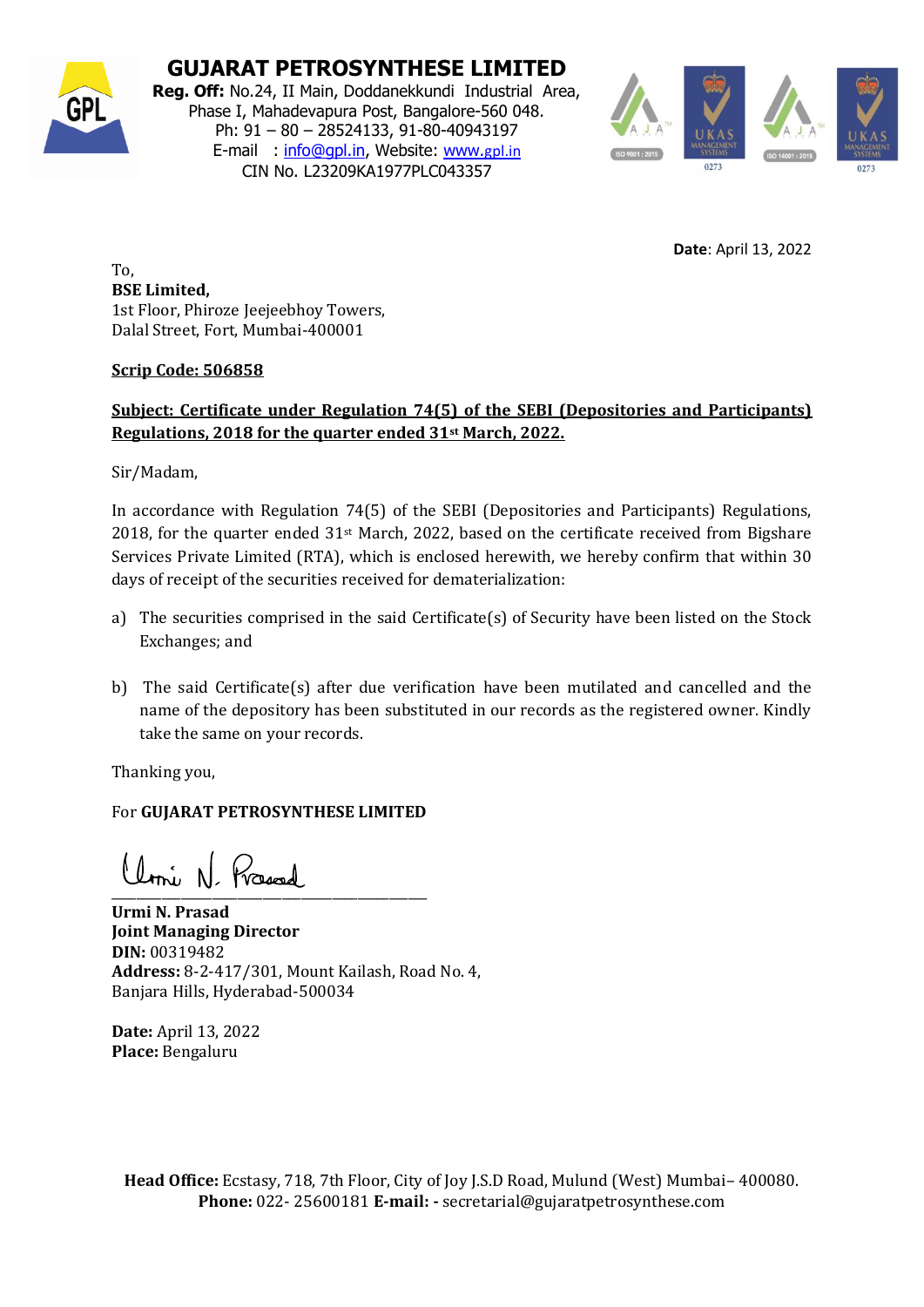

**GUJARAT PETROSYNTHESE LIMITED**

**Reg. Off:** No.24, II Main, Doddanekkundi Industrial Area, Phase I, Mahadevapura Post, Bangalore-560 048. Ph: 91 – 80 – 28524133, 91-80-40943197 E-mail : [info@gpl.in,](mailto:info@gpl.in) Website: [www.](http://www.gpl.in/)[gpl.in](http://www.gpl.in/) CIN No. L23209KA1977PLC043357



**Date**: April 13, 2022

To, **BSE Limited,**  1st Floor, Phiroze Jeejeebhoy Towers, Dalal Street, Fort, Mumbai-400001

## **Scrip Code: 506858**

## **Subject: Certificate under Regulation 74(5) of the SEBI (Depositories and Participants) Regulations, 2018 for the quarter ended 31st March, 2022.**

Sir/Madam,

In accordance with Regulation 74(5) of the SEBI (Depositories and Participants) Regulations, 2018, for the quarter ended 31st March, 2022, based on the certificate received from Bigshare Services Private Limited (RTA), which is enclosed herewith, we hereby confirm that within 30 days of receipt of the securities received for dematerialization:

- a) The securities comprised in the said Certificate(s) of Security have been listed on the Stock Exchanges; and
- b) The said Certificate(s) after due verification have been mutilated and cancelled and the name of the depository has been substituted in our records as the registered owner. Kindly take the same on your records.

Thanking you,

## For **GUJARAT PETROSYNTHESE LIMITED**

 $\overline{\phantom{a}}$  and  $\overline{\phantom{a}}$  and  $\overline{\phantom{a}}$  and  $\overline{\phantom{a}}$  and  $\overline{\phantom{a}}$  and  $\overline{\phantom{a}}$  and  $\overline{\phantom{a}}$  and  $\overline{\phantom{a}}$  and  $\overline{\phantom{a}}$  and  $\overline{\phantom{a}}$  and  $\overline{\phantom{a}}$  and  $\overline{\phantom{a}}$  and  $\overline{\phantom{a}}$  and  $\overline{\phantom{a}}$  a

**Urmi N. Prasad Joint Managing Director DIN:** 00319482 **Address:** 8-2-417/301, Mount Kailash, Road No. 4, Banjara Hills, Hyderabad-500034

**Date:** April 13, 2022 **Place:** Bengaluru

**Head Office:** Ecstasy, 718, 7th Floor, City of Joy J.S.D Road, Mulund (West) Mumbai– 400080. **Phone:** 022- 25600181 **E-mail: -** secretarial@gujaratpetrosynthese.com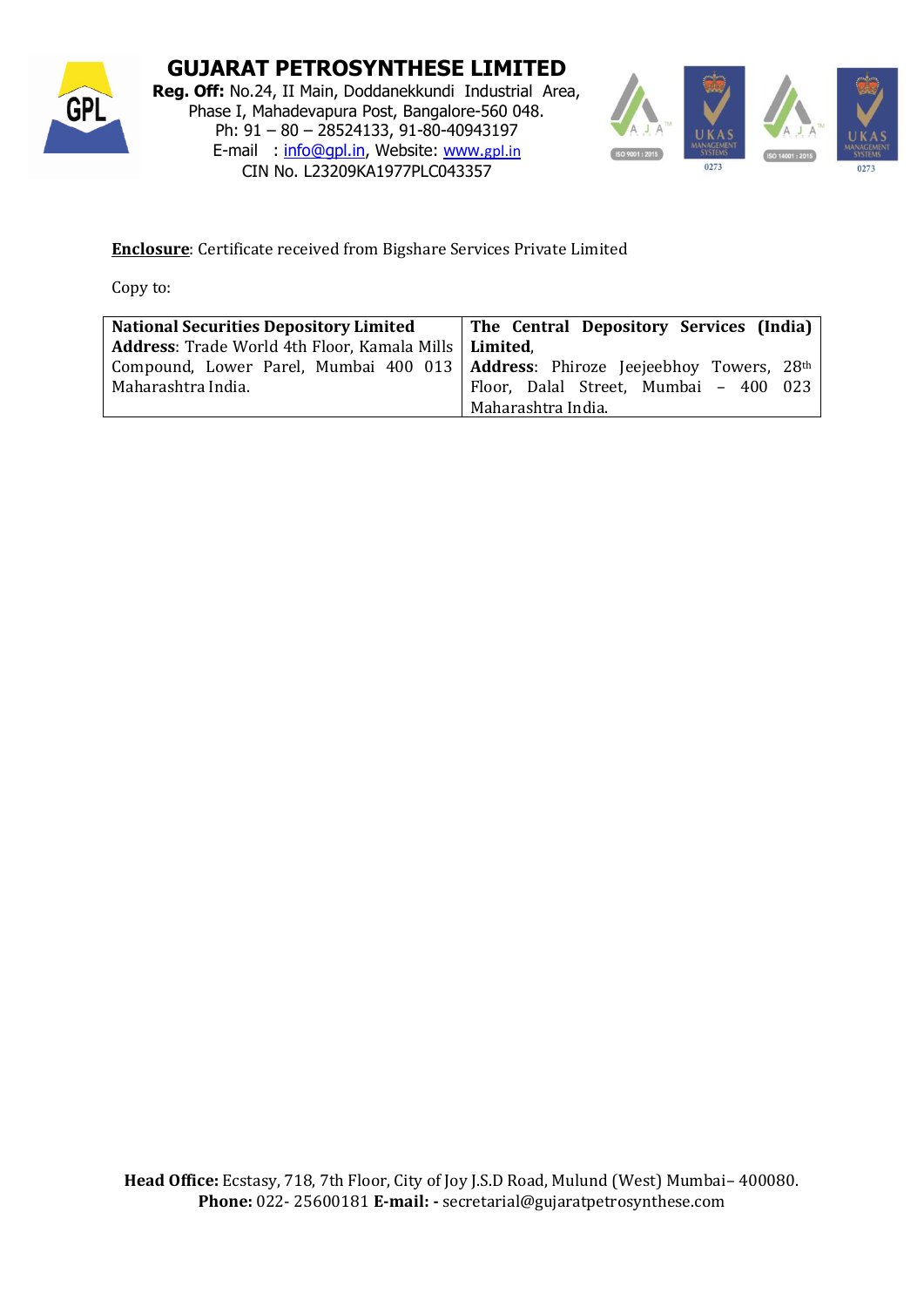

**GUJARAT PETROSYNTHESE LIMITED Reg. Off:** No.24, II Main, Doddanekkundi Industrial Area, Phase I, Mahadevapura Post, Bangalore-560 048. Ph: 91 – 80 – 28524133, 91-80-40943197 E-mail : [info@gpl.in,](mailto:info@gpl.in) Website: [www.](http://www.gpl.in/)[gpl.in](http://www.gpl.in/) CIN No. L23209KA1977PLC043357



## **Enclosure**: Certificate received from Bigshare Services Private Limited

Copy to:

| <b>National Securities Depository Limited</b>                                    | The Central Depository Services (India) |
|----------------------------------------------------------------------------------|-----------------------------------------|
| <b>Address:</b> Trade World 4th Floor, Kamala Mills   Limited,                   |                                         |
| Compound, Lower Parel, Mumbai 400 013   Address: Phiroze Jeejeebhoy Towers, 28th |                                         |
| Maharashtra India.                                                               | Floor, Dalal Street, Mumbai - 400 023   |
|                                                                                  | Maharashtra India.                      |